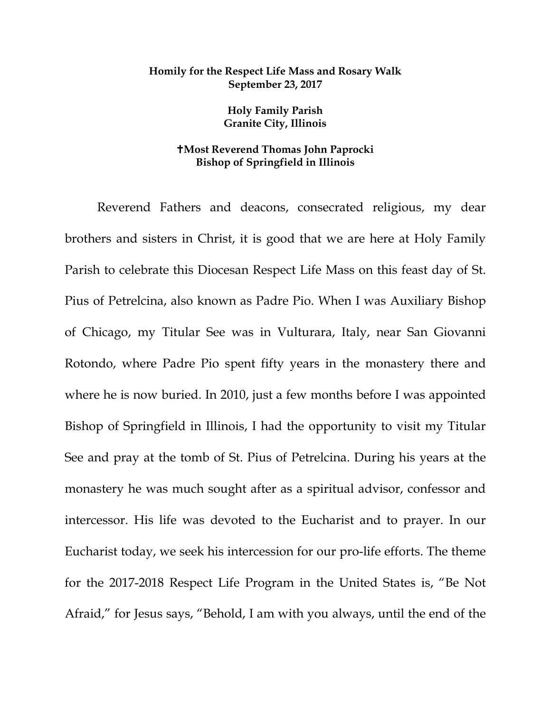## **Homily for the Respect Life Mass and Rosary Walk September 23, 2017**

**Holy Family Parish Granite City, Illinois**

## **Most Reverend Thomas John Paprocki Bishop of Springfield in Illinois**

Reverend Fathers and deacons, consecrated religious, my dear brothers and sisters in Christ, it is good that we are here at Holy Family Parish to celebrate this Diocesan Respect Life Mass on this feast day of St. Pius of Petrelcina, also known as Padre Pio. When I was Auxiliary Bishop of Chicago, my Titular See was in Vulturara, Italy, near San Giovanni Rotondo, where Padre Pio spent fifty years in the monastery there and where he is now buried. In 2010, just a few months before I was appointed Bishop of Springfield in Illinois, I had the opportunity to visit my Titular See and pray at the tomb of St. Pius of Petrelcina. During his years at the monastery he was much sought after as a spiritual advisor, confessor and intercessor. His life was devoted to the Eucharist and to prayer. In our Eucharist today, we seek his intercession for our pro-life efforts. The theme for the 2017-2018 Respect Life Program in the United States is, "Be Not Afraid," for Jesus says, "Behold, I am with you always, until the end of the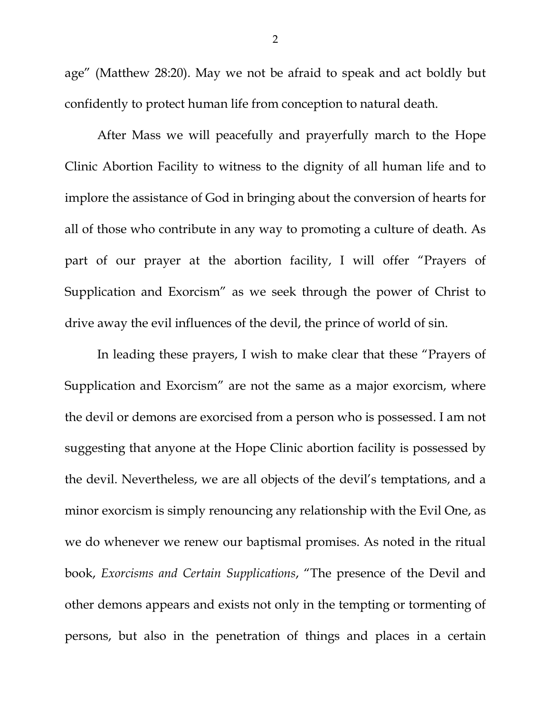age" (Matthew 28:20). May we not be afraid to speak and act boldly but confidently to protect human life from conception to natural death.

After Mass we will peacefully and prayerfully march to the Hope Clinic Abortion Facility to witness to the dignity of all human life and to implore the assistance of God in bringing about the conversion of hearts for all of those who contribute in any way to promoting a culture of death. As part of our prayer at the abortion facility, I will offer "Prayers of Supplication and Exorcism" as we seek through the power of Christ to drive away the evil influences of the devil, the prince of world of sin.

In leading these prayers, I wish to make clear that these "Prayers of Supplication and Exorcism" are not the same as a major exorcism, where the devil or demons are exorcised from a person who is possessed. I am not suggesting that anyone at the Hope Clinic abortion facility is possessed by the devil. Nevertheless, we are all objects of the devil's temptations, and a minor exorcism is simply renouncing any relationship with the Evil One, as we do whenever we renew our baptismal promises. As noted in the ritual book, *Exorcisms and Certain Supplications*, "The presence of the Devil and other demons appears and exists not only in the tempting or tormenting of persons, but also in the penetration of things and places in a certain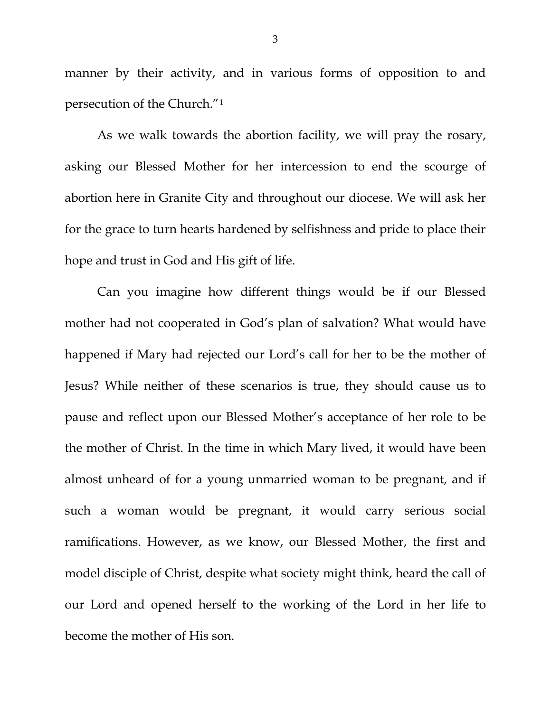<span id="page-2-0"></span>manner by their activity, and in various forms of opposition to and persecution of the Church."[1](#page-2-0) 

<span id="page-2-2"></span><span id="page-2-1"></span>As we walk towards the abortion facility, we will pray the rosary, asking our Blessed Mother for her intercession to end the scourge of abortion here in Granite City and throughout our diocese. We will ask her for the grace to turn hearts hardened by selfishness and pride to place their hope and trust in God and His gift of life.

Can you imagine how different things would be if our Blessed mother had not cooperated in God's plan of salvation? What would have happened if Mary had rejected our Lord's call for her to be the mother of Jesus? While neither of these scenarios is true, they should cause us to pause and reflect upon our Blessed Mother's acceptance of her role to be the mother of Christ. In the time in which Mary lived, it would have been almost unheard of for a young unmarried woman to be pregnant, and if such a woman would be pregnant, it would carry serious social ramifications. However, as we know, our Blessed Mother, the first and model disciple of Christ, despite what society might think, heard the call of our Lord and opened herself to the working of the Lord in her life to become the mother of His son.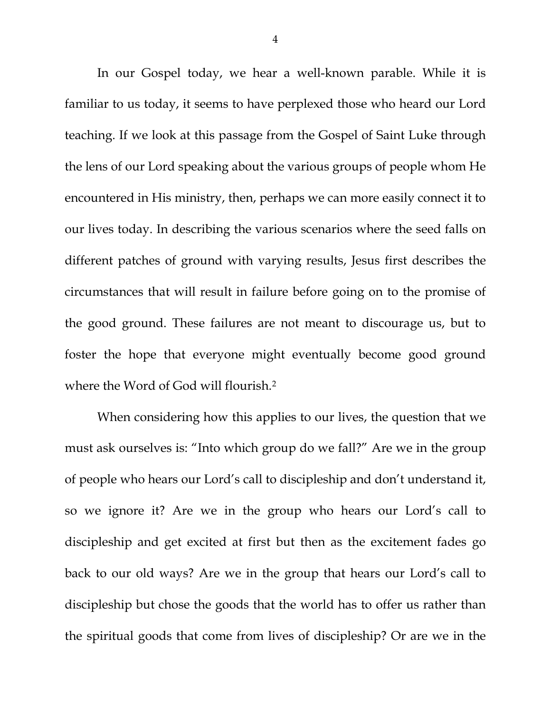In our Gospel today, we hear a well-known parable. While it is familiar to us today, it seems to have perplexed those who heard our Lord teaching. If we look at this passage from the Gospel of Saint Luke through the lens of our Lord speaking about the various groups of people whom He encountered in His ministry, then, perhaps we can more easily connect it to our lives today. In describing the various scenarios where the seed falls on different patches of ground with varying results, Jesus first describes the circumstances that will result in failure before going on to the promise of the good ground. These failures are not meant to discourage us, but to foster the hope that everyone might eventually become good ground where the Word of God will flourish.[2](#page-2-1)

When considering how this applies to our lives, the question that we must ask ourselves is: "Into which group do we fall?" Are we in the group of people who hears our Lord's call to discipleship and don't understand it, so we ignore it? Are we in the group who hears our Lord's call to discipleship and get excited at first but then as the excitement fades go back to our old ways? Are we in the group that hears our Lord's call to discipleship but chose the goods that the world has to offer us rather than the spiritual goods that come from lives of discipleship? Or are we in the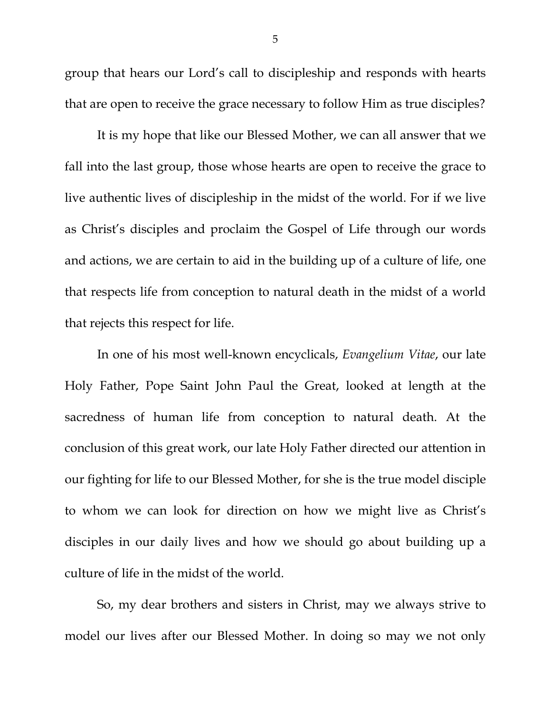group that hears our Lord's call to discipleship and responds with hearts that are open to receive the grace necessary to follow Him as true disciples?

It is my hope that like our Blessed Mother, we can all answer that we fall into the last group, those whose hearts are open to receive the grace to live authentic lives of discipleship in the midst of the world. For if we live as Christ's disciples and proclaim the Gospel of Life through our words and actions, we are certain to aid in the building up of a culture of life, one that respects life from conception to natural death in the midst of a world that rejects this respect for life.

In one of his most well-known encyclicals, *Evangelium Vitae*, our late Holy Father, Pope Saint John Paul the Great, looked at length at the sacredness of human life from conception to natural death. At the conclusion of this great work, our late Holy Father directed our attention in our fighting for life to our Blessed Mother, for she is the true model disciple to whom we can look for direction on how we might live as Christ's disciples in our daily lives and how we should go about building up a culture of life in the midst of the world.

So, my dear brothers and sisters in Christ, may we always strive to model our lives after our Blessed Mother. In doing so may we not only

5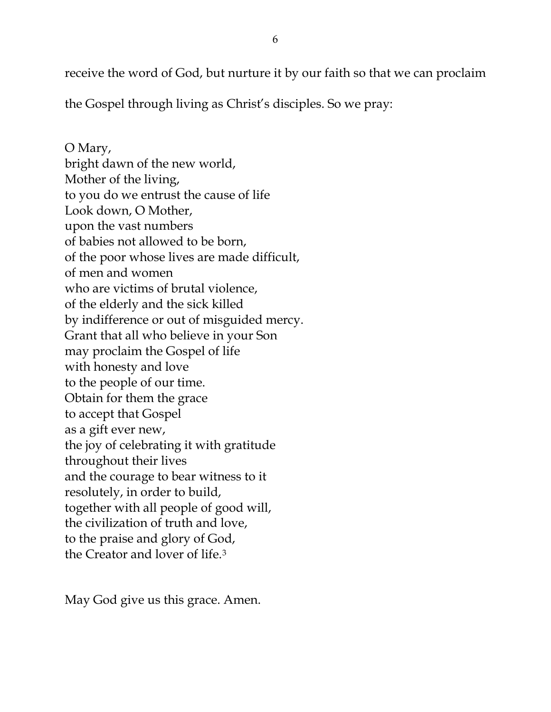receive the word of God, but nurture it by our faith so that we can proclaim

the Gospel through living as Christ's disciples. So we pray:

O Mary, bright dawn of the new world, Mother of the living, to you do we entrust the cause of life Look down, O Mother, upon the vast numbers of babies not allowed to be born, of the poor whose lives are made difficult, of men and women who are victims of brutal violence, of the elderly and the sick killed by indifference or out of misguided mercy. Grant that all who believe in your Son may proclaim the Gospel of life with honesty and love to the people of our time. Obtain for them the grace to accept that Gospel as a gift ever new, the joy of celebrating it with gratitude throughout their lives and the courage to bear witness to it resolutely, in order to build, together with all people of good will, the civilization of truth and love, to the praise and glory of God, the Creator and lover of life.[3](#page-2-2)

May God give us this grace. Amen.